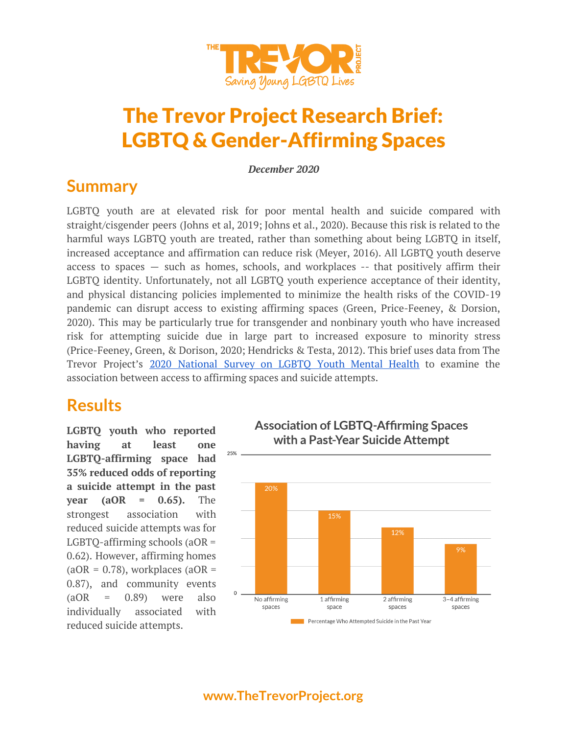

# The Trevor Project Research Brief: LGBTQ & Gender-Affirming Spaces

*December 2020*

### **Summary**

LGBTQ youth are at elevated risk for poor mental health and suicide compared with straight/cisgender peers (Johns et al, 2019; Johns et al., 2020). Because this risk is related to the harmful ways LGBTQ youth are treated, rather than something about being LGBTQ in itself, increased acceptance and affirmation can reduce risk (Meyer, 2016). All LGBTQ youth deserve access to spaces — such as homes, schools, and workplaces -- that positively affirm their LGBTQ identity. Unfortunately, not all LGBTQ youth experience acceptance of their identity, and physical distancing policies implemented to minimize the health risks of the COVID-19 pandemic can disrupt access to existing affirming spaces (Green, Price-Feeney, & Dorsion, 2020). This may be particularly true for transgender and nonbinary youth who have increased risk for attempting suicide due in large part to increased exposure to minority stress (Price-Feeney, Green, & Dorison, 2020; Hendricks & Testa, 2012). This brief uses data from The Trevor Project's 2020 [National](https://www.thetrevorproject.org/survey-2020/) Survey on LGBTQ Youth Mental Health to examine the association between access to affirming spaces and suicide attempts.

### **Results**

**LGBTQ youth who reported having at least one LGBTQ-affirming space had 35% reduced odds of reporting a suicide attempt in the past year (aOR = 0.65).** The strongest association with reduced suicide attempts was for LGBTQ-affirming schools (aOR = 0.62). However, affirming homes  $(aOR = 0.78)$ , workplaces  $(aOR = 0.78)$ 0.87), and community events  $(aOR = 0.89)$  were also individually associated with reduced suicide attempts.



**Association of LGBTQ-Affirming Spaces**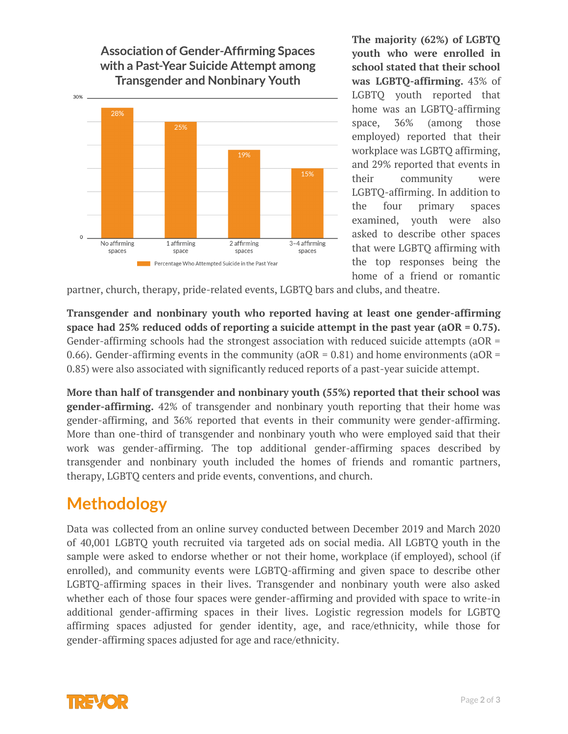

![](_page_1_Figure_1.jpeg)

**The majority (62%) of LGBTQ youth who were enrolled in school stated that their school was LGBTQ-affirming.** 43% of LGBTQ youth reported that home was an LGBTQ-affirming space, 36% (among those employed) reported that their workplace was LGBTQ affirming, and 29% reported that events in their community were LGBTQ-affirming. In addition to the four primary spaces examined, youth were also asked to describe other spaces that were LGBTQ affirming with the top responses being the home of a friend or romantic

partner, church, therapy, pride-related events, LGBTQ bars and clubs, and theatre.

**Transgender and nonbinary youth who reported having at least one gender-affirming space had 25% reduced odds of reporting a suicide attempt in the past year (aOR = 0.75).** Gender-affirming schools had the strongest association with reduced suicide attempts (aOR = 0.66). Gender-affirming events in the community ( $aOR = 0.81$ ) and home environments ( $aOR =$ 0.85) were also associated with significantly reduced reports of a past-year suicide attempt.

**More than half of transgender and nonbinary youth (55%) reported that their school was gender-affirming.** 42% of transgender and nonbinary youth reporting that their home was gender-affirming, and 36% reported that events in their community were gender-affirming. More than one-third of transgender and nonbinary youth who were employed said that their work was gender-affirming. The top additional gender-affirming spaces described by transgender and nonbinary youth included the homes of friends and romantic partners, therapy, LGBTQ centers and pride events, conventions, and church.

#### **Methodology**

Data was collected from an online survey conducted between December 2019 and March 2020 of 40,001 LGBTQ youth recruited via targeted ads on social media. All LGBTQ youth in the sample were asked to endorse whether or not their home, workplace (if employed), school (if enrolled), and community events were LGBTQ-affirming and given space to describe other LGBTQ-affirming spaces in their lives. Transgender and nonbinary youth were also asked whether each of those four spaces were gender-affirming and provided with space to write-in additional gender-affirming spaces in their lives. Logistic regression models for LGBTQ affirming spaces adjusted for gender identity, age, and race/ethnicity, while those for gender-affirming spaces adjusted for age and race/ethnicity.

![](_page_1_Picture_8.jpeg)